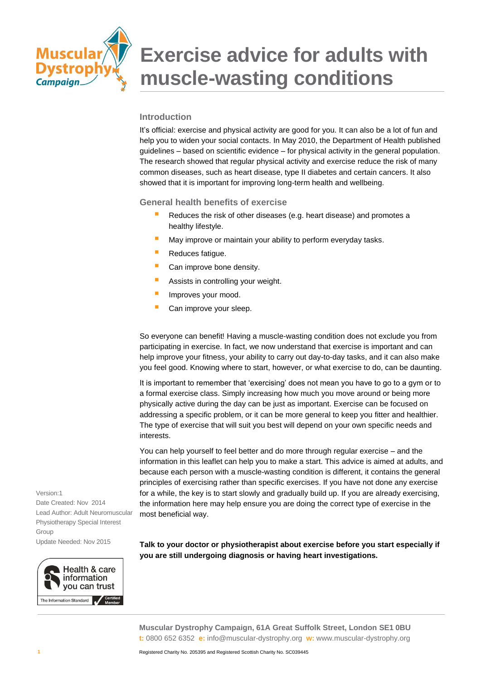

#### **Introduction**

It's official: exercise and physical activity are good for you. It can also be a lot of fun and help you to widen your social contacts. In May 2010, the Department of Health published guidelines – based on scientific evidence – for physical activity in the general population. The research showed that regular physical activity and exercise reduce the risk of many common diseases, such as heart disease, type II diabetes and certain cancers. It also showed that it is important for improving long-term health and wellbeing.

#### **General health benefits of exercise**

- Reduces the risk of other diseases (e.g. heart disease) and promotes a healthy lifestyle.
- May improve or maintain your ability to perform everyday tasks.
- Reduces fatigue.
- Can improve bone density.
- **Assists in controlling your weight.**
- **Improves your mood.**
- Can improve your sleep.

So everyone can benefit! Having a muscle-wasting condition does not exclude you from participating in exercise. In fact, we now understand that exercise is important and can help improve your fitness, your ability to carry out day-to-day tasks, and it can also make you feel good. Knowing where to start, however, or what exercise to do, can be daunting.

It is important to remember that 'exercising' does not mean you have to go to a gym or to a formal exercise class. Simply increasing how much you move around or being more physically active during the day can be just as important. Exercise can be focused on addressing a specific problem, or it can be more general to keep you fitter and healthier. The type of exercise that will suit you best will depend on your own specific needs and interests.

You can help yourself to feel better and do more through regular exercise – and the information in this leaflet can help you to make a start. This advice is aimed at adults, and because each person with a muscle-wasting condition is different, it contains the general principles of exercising rather than specific exercises. If you have not done any exercise for a while, the key is to start slowly and gradually build up. If you are already exercising, the information here may help ensure you are doing the correct type of exercise in the most beneficial way.

Version:1 Date Created: Nov 2014 Lead Author: Adult Neuromuscular Physiotherapy Special Interest Group Update Needed: Nov 2015



**Talk to your doctor or physiotherapist about exercise before you start especially if you are still undergoing diagnosis or having heart investigations.**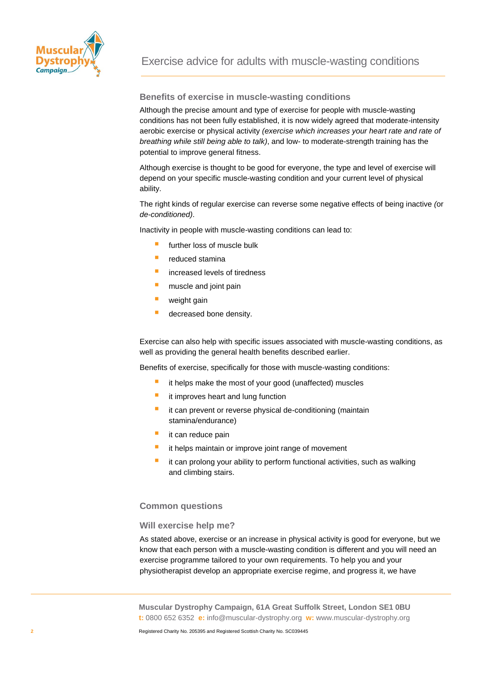

#### **Benefits of exercise in muscle-wasting conditions**

Although the precise amount and type of exercise for people with muscle-wasting conditions has not been fully established, it is now widely agreed that moderate-intensity aerobic exercise or physical activity *(exercise which increases your heart rate and rate of breathing while still being able to talk)*, and low- to moderate-strength training has the potential to improve general fitness.

Although exercise is thought to be good for everyone, the type and level of exercise will depend on your specific muscle-wasting condition and your current level of physical ability.

The right kinds of regular exercise can reverse some negative effects of being inactive *(*or *de-conditioned)*.

Inactivity in people with muscle-wasting conditions can lead to:

- further loss of muscle bulk
- $\blacksquare$  reduced stamina
- **increased levels of tiredness**
- muscle and joint pain
- weight gain
- decreased bone density.

Exercise can also help with specific issues associated with muscle-wasting conditions, as well as providing the general health benefits described earlier.

Benefits of exercise, specifically for those with muscle-wasting conditions:

- it helps make the most of your good (unaffected) muscles
- it improves heart and lung function
- it can prevent or reverse physical de-conditioning (maintain stamina/endurance)
- it can reduce pain
- it helps maintain or improve joint range of movement
- it can prolong your ability to perform functional activities, such as walking and climbing stairs.

#### **Common questions**

#### **Will exercise help me?**

As stated above, exercise or an increase in physical activity is good for everyone, but we know that each person with a muscle-wasting condition is different and you will need an exercise programme tailored to your own requirements. To help you and your physiotherapist develop an appropriate exercise regime, and progress it, we have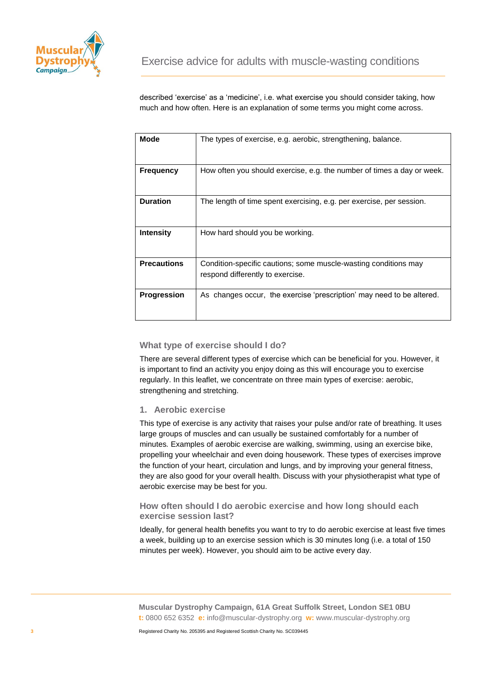

described 'exercise' as a 'medicine', i.e. what exercise you should consider taking, how much and how often. Here is an explanation of some terms you might come across.

| <b>Mode</b>        | The types of exercise, e.g. aerobic, strengthening, balance.           |
|--------------------|------------------------------------------------------------------------|
|                    |                                                                        |
|                    |                                                                        |
|                    |                                                                        |
| <b>Frequency</b>   | How often you should exercise, e.g. the number of times a day or week. |
|                    |                                                                        |
|                    |                                                                        |
|                    |                                                                        |
| <b>Duration</b>    | The length of time spent exercising, e.g. per exercise, per session.   |
|                    |                                                                        |
|                    |                                                                        |
|                    |                                                                        |
| <b>Intensity</b>   | How hard should you be working.                                        |
|                    |                                                                        |
|                    |                                                                        |
|                    |                                                                        |
| <b>Precautions</b> |                                                                        |
|                    | Condition-specific cautions; some muscle-wasting conditions may        |
|                    | respond differently to exercise.                                       |
|                    |                                                                        |
|                    |                                                                        |
| <b>Progression</b> | As changes occur, the exercise 'prescription' may need to be altered.  |
|                    |                                                                        |
|                    |                                                                        |
|                    |                                                                        |

#### **What type of exercise should I do?**

There are several different types of exercise which can be beneficial for you. However, it is important to find an activity you enjoy doing as this will encourage you to exercise regularly. In this leaflet, we concentrate on three main types of exercise: aerobic, strengthening and stretching.

#### **1. Aerobic exercise**

This type of exercise is any activity that raises your pulse and/or rate of breathing. It uses large groups of muscles and can usually be sustained comfortably for a number of minutes*.* Examples of aerobic exercise are walking, swimming, using an exercise bike, propelling your wheelchair and even doing housework. These types of exercises improve the function of your heart, circulation and lungs, and by improving your general fitness, they are also good for your overall health. Discuss with your physiotherapist what type of aerobic exercise may be best for you.

#### **How often should I do aerobic exercise and how long should each exercise session last?**

Ideally, for general health benefits you want to try to do aerobic exercise at least five times a week, building up to an exercise session which is 30 minutes long (i.e. a total of 150 minutes per week). However, you should aim to be active every day.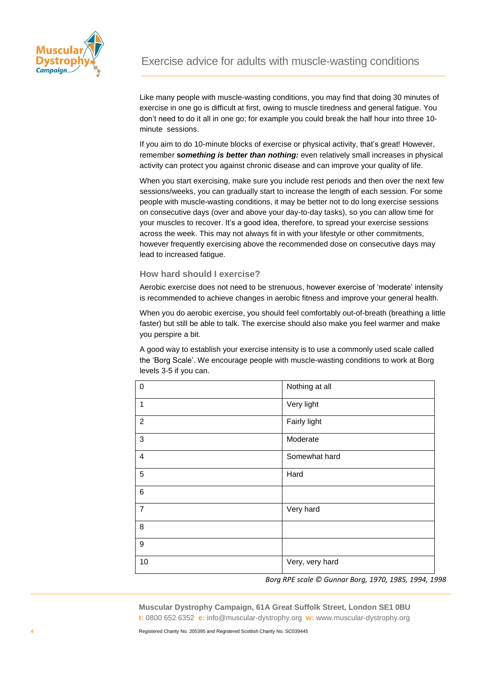

Like many people with muscle-wasting conditions, you may find that doing 30 minutes of exercise in one go is difficult at first, owing to muscle tiredness and general fatigue. You don't need to do it all in one go; for example you could break the half hour into three 10 minute sessions.

If you aim to do 10-minute blocks of exercise or physical activity, that's great! However, remember **s***omething is better than nothing:* even relatively small increases in physical activity can protect you against chronic disease and can improve your quality of life.

When you start exercising, make sure you include rest periods and then over the next few sessions/weeks, you can gradually start to increase the length of each session. For some people with muscle-wasting conditions, it may be better not to do long exercise sessions on consecutive days (over and above your day-to-day tasks), so you can allow time for your muscles to recover. It's a good idea, therefore, to spread your exercise sessions across the week. This may not always fit in with your lifestyle or other commitments, however frequently exercising above the recommended dose on consecutive days may lead to increased fatigue.

#### **How hard should I exercise?**

Aerobic exercise does not need to be strenuous, however exercise of 'moderate' intensity is recommended to achieve changes in aerobic fitness and improve your general health.

When you do aerobic exercise, you should feel comfortably out-of-breath (breathing a little faster) but still be able to talk. The exercise should also make you feel warmer and make you perspire a bit.

A good way to establish your exercise intensity is to use a commonly used scale called the 'Borg Scale'. We encourage people with muscle-wasting conditions to work at Borg levels 3-5 if you can.

| $\mathbf 0$             | Nothing at all  |
|-------------------------|-----------------|
| 1                       | Very light      |
| $\boldsymbol{2}$        | Fairly light    |
| 3                       | Moderate        |
| $\overline{\mathbf{4}}$ | Somewhat hard   |
| 5                       | Hard            |
| 6                       |                 |
| $\overline{7}$          | Very hard       |
| 8                       |                 |
| 9                       |                 |
| 10                      | Very, very hard |

*Borg RPE scale © Gunnar Borg, 1970, 1985, 1994, 1998*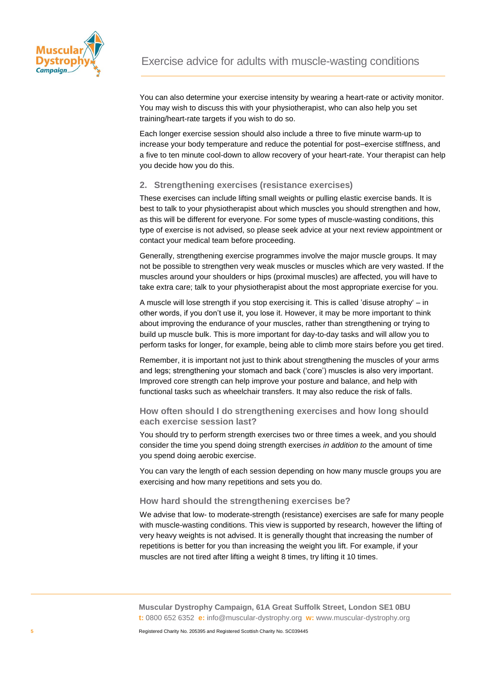

You can also determine your exercise intensity by wearing a heart-rate or activity monitor. You may wish to discuss this with your physiotherapist, who can also help you set training/heart-rate targets if you wish to do so.

Each longer exercise session should also include a three to five minute warm-up to increase your body temperature and reduce the potential for post–exercise stiffness, and a five to ten minute cool-down to allow recovery of your heart-rate. Your therapist can help you decide how you do this.

#### **2. Strengthening exercises (resistance exercises)**

These exercises can include lifting small weights or pulling elastic exercise bands. It is best to talk to your physiotherapist about which muscles you should strengthen and how, as this will be different for everyone. For some types of muscle-wasting conditions, this type of exercise is not advised, so please seek advice at your next review appointment or contact your medical team before proceeding.

Generally, strengthening exercise programmes involve the major muscle groups. It may not be possible to strengthen very weak muscles or muscles which are very wasted. If the muscles around your shoulders or hips (proximal muscles) are affected, you will have to take extra care; talk to your physiotherapist about the most appropriate exercise for you.

A muscle will lose strength if you stop exercising it. This is called 'disuse atrophy' – in other words, if you don't use it, you lose it. However, it may be more important to think about improving the endurance of your muscles, rather than strengthening or trying to build up muscle bulk. This is more important for day-to-day tasks and will allow you to perform tasks for longer, for example, being able to climb more stairs before you get tired.

Remember, it is important not just to think about strengthening the muscles of your arms and legs; strengthening your stomach and back ('core') muscles is also very important. Improved core strength can help improve your posture and balance, and help with functional tasks such as wheelchair transfers. It may also reduce the risk of falls.

#### **How often should I do strengthening exercises and how long should each exercise session last?**

You should try to perform strength exercises two or three times a week, and you should consider the time you spend doing strength exercises *in addition to* the amount of time you spend doing aerobic exercise.

You can vary the length of each session depending on how many muscle groups you are exercising and how many repetitions and sets you do.

#### **How hard should the strengthening exercises be?**

We advise that low- to moderate-strength (resistance) exercises are safe for many people with muscle-wasting conditions. This view is supported by research, however the lifting of very heavy weights is not advised. It is generally thought that increasing the number of repetitions is better for you than increasing the weight you lift. For example, if your muscles are not tired after lifting a weight 8 times, try lifting it 10 times.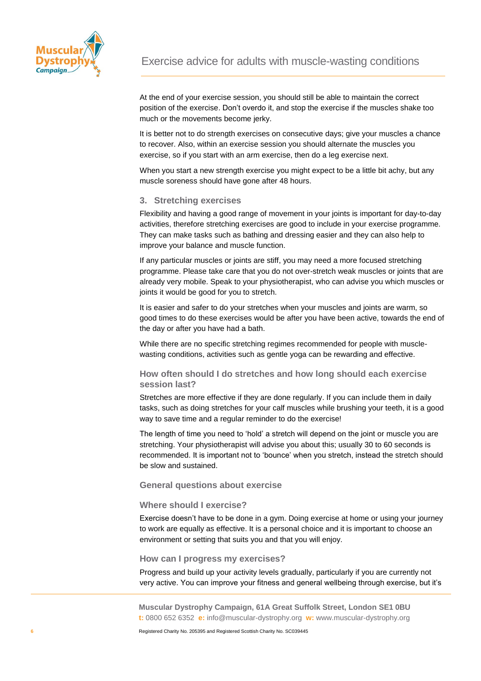

At the end of your exercise session, you should still be able to maintain the correct position of the exercise. Don't overdo it, and stop the exercise if the muscles shake too much or the movements become jerky.

It is better not to do strength exercises on consecutive days; give your muscles a chance to recover. Also, within an exercise session you should alternate the muscles you exercise, so if you start with an arm exercise, then do a leg exercise next.

When you start a new strength exercise you might expect to be a little bit achy, but any muscle soreness should have gone after 48 hours.

#### **3. Stretching exercises**

Flexibility and having a good range of movement in your joints is important for day-to-day activities, therefore stretching exercises are good to include in your exercise programme. They can make tasks such as bathing and dressing easier and they can also help to improve your balance and muscle function.

If any particular muscles or joints are stiff, you may need a more focused stretching programme. Please take care that you do not over-stretch weak muscles or joints that are already very mobile. Speak to your physiotherapist, who can advise you which muscles or joints it would be good for you to stretch.

It is easier and safer to do your stretches when your muscles and joints are warm, so good times to do these exercises would be after you have been active, towards the end of the day or after you have had a bath.

While there are no specific stretching regimes recommended for people with musclewasting conditions, activities such as gentle yoga can be rewarding and effective.

**How often should I do stretches and how long should each exercise session last?**

Stretches are more effective if they are done regularly. If you can include them in daily tasks, such as doing stretches for your calf muscles while brushing your teeth, it is a good way to save time and a regular reminder to do the exercise!

The length of time you need to 'hold' a stretch will depend on the joint or muscle you are stretching. Your physiotherapist will advise you about this; usually 30 to 60 seconds is recommended. It is important not to 'bounce' when you stretch, instead the stretch should be slow and sustained.

#### **General questions about exercise**

#### **Where should I exercise?**

Exercise doesn't have to be done in a gym. Doing exercise at home or using your journey to work are equally as effective. It is a personal choice and it is important to choose an environment or setting that suits you and that you will enjoy.

**How can I progress my exercises?**

Progress and build up your activity levels gradually, particularly if you are currently not very active. You can improve your fitness and general wellbeing through exercise, but it's

**Muscular Dystrophy Campaign, 61A Great Suffolk Street, London SE1 0BU t:** 0800 652 6352 **e:** info@muscular-dystrophy.org **w:** www.muscular-dystrophy.org

Registered Charity No. 205395 and Registered Scottish Charity No. SC039445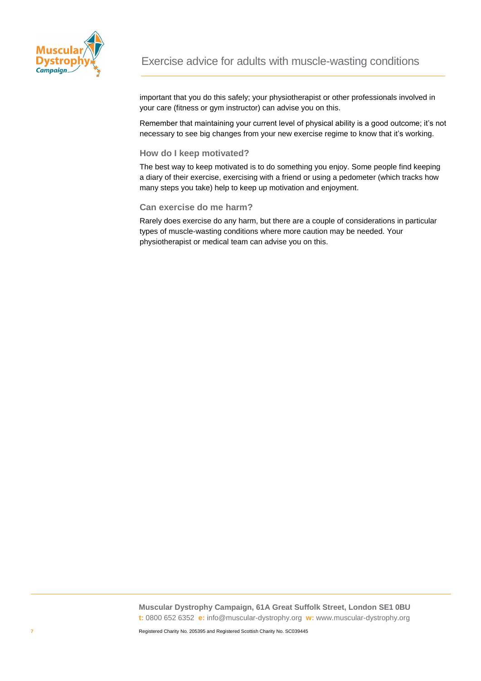

important that you do this safely; your physiotherapist or other professionals involved in your care (fitness or gym instructor) can advise you on this.

Remember that maintaining your current level of physical ability is a good outcome; it's not necessary to see big changes from your new exercise regime to know that it's working.

#### **How do I keep motivated?**

The best way to keep motivated is to do something you enjoy. Some people find keeping a diary of their exercise, exercising with a friend or using a pedometer (which tracks how many steps you take) help to keep up motivation and enjoyment.

#### **Can exercise do me harm?**

Rarely does exercise do any harm, but there are a couple of considerations in particular types of muscle-wasting conditions where more caution may be needed. Your physiotherapist or medical team can advise you on this.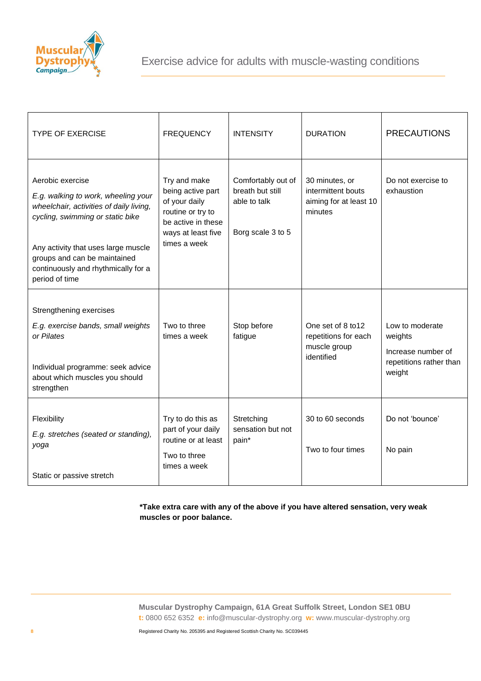

| <b>TYPE OF EXERCISE</b>                                                                                                                                                                                                                                                | <b>FREQUENCY</b>                                                                                                                    | <b>INTENSITY</b>                                                            | <b>DURATION</b>                                                           | <b>PRECAUTIONS</b>                                                                    |
|------------------------------------------------------------------------------------------------------------------------------------------------------------------------------------------------------------------------------------------------------------------------|-------------------------------------------------------------------------------------------------------------------------------------|-----------------------------------------------------------------------------|---------------------------------------------------------------------------|---------------------------------------------------------------------------------------|
| Aerobic exercise<br>E.g. walking to work, wheeling your<br>wheelchair, activities of daily living,<br>cycling, swimming or static bike<br>Any activity that uses large muscle<br>groups and can be maintained<br>continuously and rhythmically for a<br>period of time | Try and make<br>being active part<br>of your daily<br>routine or try to<br>be active in these<br>ways at least five<br>times a week | Comfortably out of<br>breath but still<br>able to talk<br>Borg scale 3 to 5 | 30 minutes, or<br>intermittent bouts<br>aiming for at least 10<br>minutes | Do not exercise to<br>exhaustion                                                      |
| Strengthening exercises<br>E.g. exercise bands, small weights<br>or Pilates<br>Individual programme: seek advice<br>about which muscles you should<br>strengthen                                                                                                       | Two to three<br>times a week                                                                                                        | Stop before<br>fatigue                                                      | One set of 8 to12<br>repetitions for each<br>muscle group<br>identified   | Low to moderate<br>weights<br>Increase number of<br>repetitions rather than<br>weight |
| Flexibility<br>E.g. stretches (seated or standing),<br>yoga<br>Static or passive stretch                                                                                                                                                                               | Try to do this as<br>part of your daily<br>routine or at least<br>Two to three<br>times a week                                      | Stretching<br>sensation but not<br>pain*                                    | 30 to 60 seconds<br>Two to four times                                     | Do not 'bounce'<br>No pain                                                            |

**\*Take extra care with any of the above if you have altered sensation, very weak muscles or poor balance.**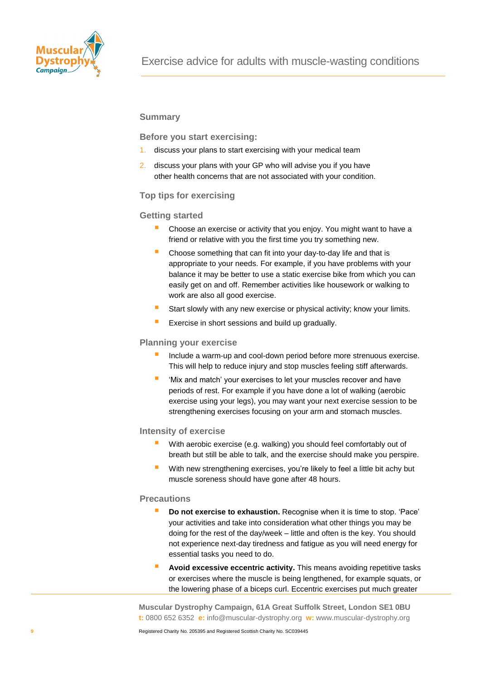

#### **Summary**

**Before you start exercising:**

- 1. discuss your plans to start exercising with your medical team
- 2. discuss your plans with your GP who will advise you if you have other health concerns that are not associated with your condition.

#### **Top tips for exercising**

#### **Getting started**

- Choose an exercise or activity that you enjoy. You might want to have a friend or relative with you the first time you try something new.
- Choose something that can fit into your day-to-day life and that is appropriate to your needs. For example, if you have problems with your balance it may be better to use a static exercise bike from which you can easily get on and off. Remember activities like housework or walking to work are also all good exercise.
- Start slowly with any new exercise or physical activity; know your limits.
- Exercise in short sessions and build up gradually.

#### **Planning your exercise**

- Include a warm-up and cool-down period before more strenuous exercise. This will help to reduce injury and stop muscles feeling stiff afterwards.
- 'Mix and match' your exercises to let your muscles recover and have periods of rest. For example if you have done a lot of walking (aerobic exercise using your legs), you may want your next exercise session to be strengthening exercises focusing on your arm and stomach muscles.

#### **Intensity of exercise**

- With aerobic exercise (e.g. walking) you should feel comfortably out of breath but still be able to talk, and the exercise should make you perspire.
- With new strengthening exercises, you're likely to feel a little bit achy but muscle soreness should have gone after 48 hours.

#### **Precautions**

- **Do not exercise to exhaustion.** Recognise when it is time to stop. 'Pace' your activities and take into consideration what other things you may be doing for the rest of the day/week – little and often is the key. You should not experience next-day tiredness and fatigue as you will need energy for essential tasks you need to do.
- **Avoid excessive eccentric activity.** This means avoiding repetitive tasks or exercises where the muscle is being lengthened, for example squats, or the lowering phase of a biceps curl. Eccentric exercises put much greater

**Muscular Dystrophy Campaign, 61A Great Suffolk Street, London SE1 0BU t:** 0800 652 6352 **e:** info@muscular-dystrophy.org **w:** www.muscular-dystrophy.org

Registered Charity No. 205395 and Registered Scottish Charity No. SC039445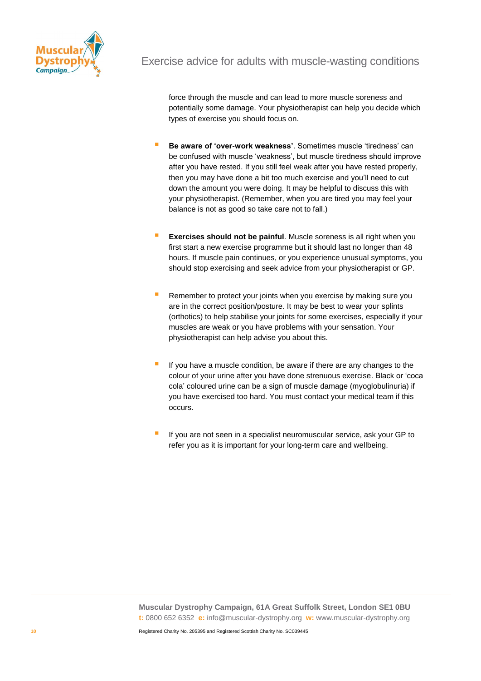

force through the muscle and can lead to more muscle soreness and potentially some damage. Your physiotherapist can help you decide which types of exercise you should focus on.

- **Be aware of 'over-work weakness'.** Sometimes muscle 'tiredness' can be confused with muscle 'weakness', but muscle tiredness should improve after you have rested. If you still feel weak after you have rested properly, then you may have done a bit too much exercise and you'll need to cut down the amount you were doing. It may be helpful to discuss this with your physiotherapist. (Remember, when you are tired you may feel your balance is not as good so take care not to fall.)
- **Exercises should not be painful**. Muscle soreness is all right when you first start a new exercise programme but it should last no longer than 48 hours. If muscle pain continues, or you experience unusual symptoms, you should stop exercising and seek advice from your physiotherapist or GP.
- Remember to protect your joints when you exercise by making sure you are in the correct position/posture. It may be best to wear your splints (orthotics) to help stabilise your joints for some exercises, especially if your muscles are weak or you have problems with your sensation. Your physiotherapist can help advise you about this.
- If you have a muscle condition, be aware if there are any changes to the colour of your urine after you have done strenuous exercise. Black or 'coca cola' coloured urine can be a sign of muscle damage (myoglobulinuria) if you have exercised too hard. You must contact your medical team if this occurs.
- If you are not seen in a specialist neuromuscular service, ask your GP to refer you as it is important for your long-term care and wellbeing.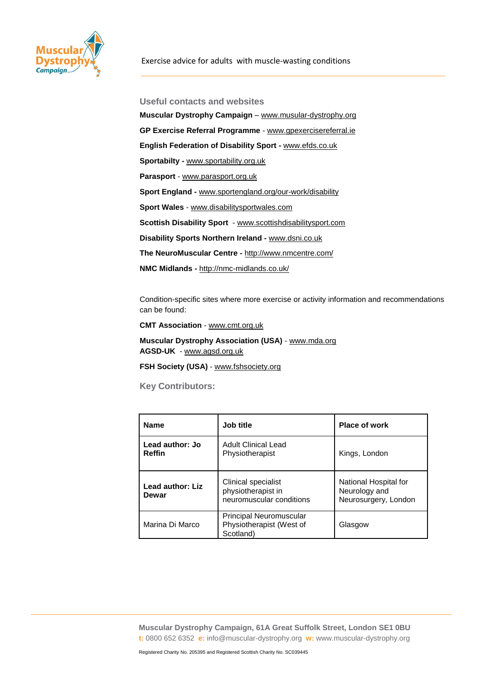

**Useful contacts and websites Muscular Dystrophy Campaign** – [www.musular-dystrophy.org](http://www.musular-dystrophy.org/) **GP Exercise Referral Programme** - [www.gpexercisereferral.ie](http://www.gpexercisereferral.ie/) **English Federation of Disability Sport -** [www.efds.co.uk](file://MDCFILE01/SHAREDRIVE/Marketing/Comms/Content%202014/Campaigns,%20Care%20and%20Information%20publications/Factsheets/www.efds.co.uk) **Sportabilty -** [www.sportability.org.uk](http://www.sportability.org.uk/) **Parasport** - [www.parasport.org.uk](http://www.parasport.org.uk/) **Sport England -** [www.sportengland.org/our-work/disability](http://www.sportengland.org/our-work/disability) **Sport Wales** - [www.disabilitysportwales.com](http://www.disabilitysportwales.com/) **Scottish Disability Sport** - [www.scottishdisabilitysport.com](http://www.scottishdisabilitysport.com/) **[Disability Sports Northern Ireland](http://www.dsni.co.uk/) -** [www.dsni.co.uk](http://www.dsni.co.uk/) **[The NeuroMuscular Centre](http://www.nmcentre.com/) -** <http://www.nmcentre.com/> **NMC Midlands -** <http://nmc-midlands.co.uk/>

Condition-specific sites where more exercise or activity information and recommendations can be found:

**CMT Association** - [www.cmt.org.uk](http://www.cmt.org.uk/)

**Muscular Dystrophy Association (USA)** - [www.mda.org](http://www.mda.org/) **AGSD-UK** - [www.agsd.org.uk](http://www.agsd.org.uk/)

**FSH Society (USA)** - [www.fshsociety.org](http://www.fshsociety.org/)

**Key Contributors:** 

| <b>Name</b>                      | Job title                                                               | <b>Place of work</b>                                           |  |
|----------------------------------|-------------------------------------------------------------------------|----------------------------------------------------------------|--|
| Lead author: Jo<br><b>Reffin</b> | <b>Adult Clinical Lead</b><br>Physiotherapist                           | Kings, London                                                  |  |
| Lead author: Liz<br>Dewar        | Clinical specialist<br>physiotherapist in<br>neuromuscular conditions   | National Hospital for<br>Neurology and<br>Neurosurgery, London |  |
| Marina Di Marco                  | <b>Principal Neuromuscular</b><br>Physiotherapist (West of<br>Scotland) | Glasgow                                                        |  |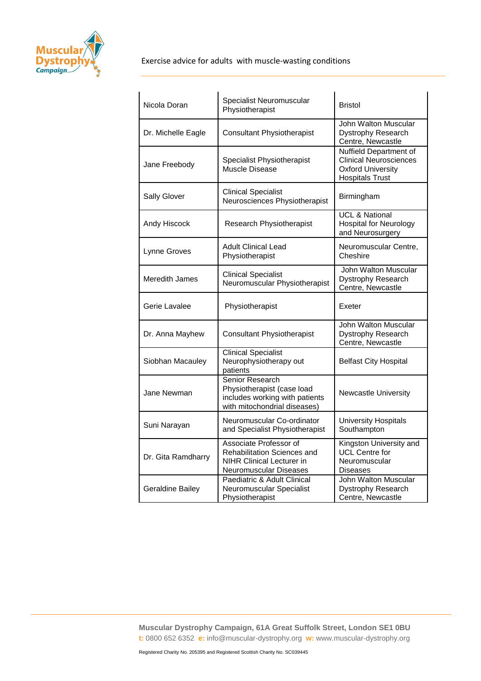

| Nicola Doran            | Specialist Neuromuscular<br>Physiotherapist                                                                                | <b>Bristol</b>                                                                                                |
|-------------------------|----------------------------------------------------------------------------------------------------------------------------|---------------------------------------------------------------------------------------------------------------|
| Dr. Michelle Eagle      | <b>Consultant Physiotherapist</b>                                                                                          | John Walton Muscular<br>Dystrophy Research<br>Centre, Newcastle                                               |
| Jane Freebody           | Specialist Physiotherapist<br><b>Muscle Disease</b>                                                                        | Nuffield Department of<br><b>Clinical Neurosciences</b><br><b>Oxford University</b><br><b>Hospitals Trust</b> |
| <b>Sally Glover</b>     | <b>Clinical Specialist</b><br>Neurosciences Physiotherapist                                                                | Birmingham                                                                                                    |
| Andy Hiscock            | Research Physiotherapist                                                                                                   | <b>UCL &amp; National</b><br><b>Hospital for Neurology</b><br>and Neurosurgery                                |
| Lynne Groves            | <b>Adult Clinical Lead</b><br>Physiotherapist                                                                              | Neuromuscular Centre,<br>Cheshire                                                                             |
| <b>Meredith James</b>   | <b>Clinical Specialist</b><br>Neuromuscular Physiotherapist                                                                | John Walton Muscular<br>Dystrophy Research<br>Centre, Newcastle                                               |
| Gerie Lavalee           | Physiotherapist                                                                                                            | Exeter                                                                                                        |
| Dr. Anna Mayhew         | <b>Consultant Physiotherapist</b>                                                                                          | John Walton Muscular<br>Dystrophy Research<br>Centre, Newcastle                                               |
| Siobhan Macauley        | <b>Clinical Specialist</b><br>Neurophysiotherapy out<br>patients                                                           | <b>Belfast City Hospital</b>                                                                                  |
| Jane Newman             | Senior Research<br>Physiotherapist (case load<br>includes working with patients<br>with mitochondrial diseases)            | Newcastle University                                                                                          |
| Suni Narayan            | Neuromuscular Co-ordinator<br>and Specialist Physiotherapist                                                               | <b>University Hospitals</b><br>Southampton                                                                    |
| Dr. Gita Ramdharry      | Associate Professor of<br><b>Rehabilitation Sciences and</b><br><b>NIHR Clinical Lecturer in</b><br>Neuromuscular Diseases | Kingston University and<br><b>UCL Centre for</b><br>Neuromuscular<br><b>Diseases</b>                          |
| <b>Geraldine Bailey</b> | Paediatric & Adult Clinical<br>Neuromuscular Specialist<br>Physiotherapist                                                 | John Walton Muscular<br>Dystrophy Research<br>Centre, Newcastle                                               |